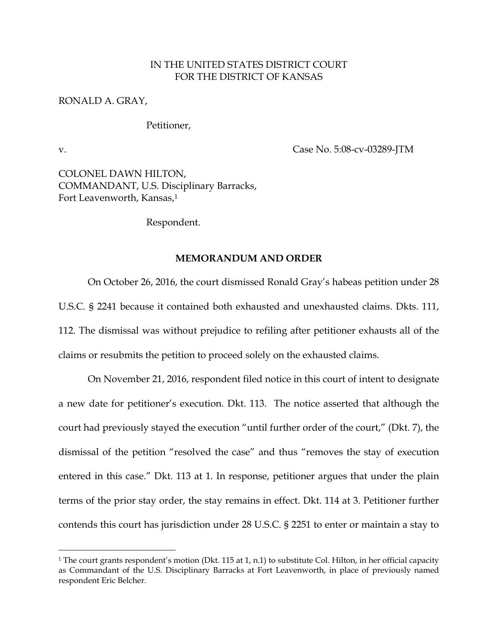## IN THE UNITED STATES DISTRICT COURT FOR THE DISTRICT OF KANSAS

## RONALD A. GRAY,

## Petitioner,

 $\overline{a}$ 

v. Case No. 5:08-cv-03289-JTM

COLONEL DAWN HILTON, COMMANDANT, U.S. Disciplinary Barracks, Fort Leavenworth, Kansas,<sup>1</sup>

Respondent.

## **MEMORANDUM AND ORDER**

 On October 26, 2016, the court dismissed Ronald Gray's habeas petition under 28 U.S.C. § 2241 because it contained both exhausted and unexhausted claims. Dkts. 111, 112. The dismissal was without prejudice to refiling after petitioner exhausts all of the claims or resubmits the petition to proceed solely on the exhausted claims.

 On November 21, 2016, respondent filed notice in this court of intent to designate a new date for petitioner's execution. Dkt. 113. The notice asserted that although the court had previously stayed the execution "until further order of the court," (Dkt. 7), the dismissal of the petition "resolved the case" and thus "removes the stay of execution entered in this case." Dkt. 113 at 1. In response, petitioner argues that under the plain terms of the prior stay order, the stay remains in effect. Dkt. 114 at 3. Petitioner further contends this court has jurisdiction under 28 U.S.C. § 2251 to enter or maintain a stay to

<sup>1</sup> The court grants respondent's motion (Dkt. 115 at 1, n.1) to substitute Col. Hilton, in her official capacity as Commandant of the U.S. Disciplinary Barracks at Fort Leavenworth, in place of previously named respondent Eric Belcher.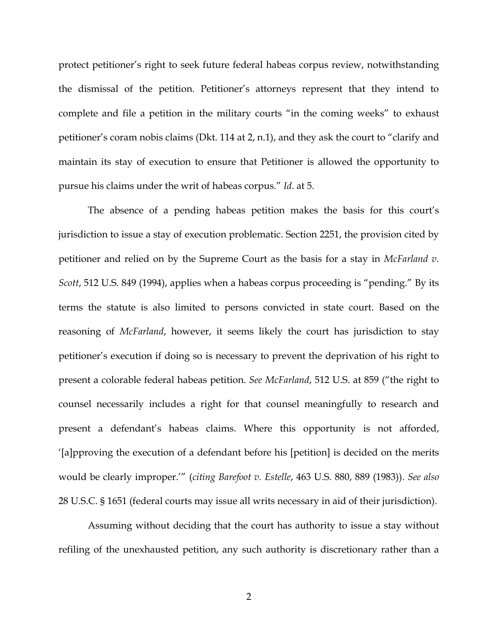protect petitioner's right to seek future federal habeas corpus review, notwithstanding the dismissal of the petition. Petitioner's attorneys represent that they intend to complete and file a petition in the military courts "in the coming weeks" to exhaust petitioner's coram nobis claims (Dkt. 114 at 2, n.1), and they ask the court to "clarify and maintain its stay of execution to ensure that Petitioner is allowed the opportunity to pursue his claims under the writ of habeas corpus." *Id*. at 5.

 The absence of a pending habeas petition makes the basis for this court's jurisdiction to issue a stay of execution problematic. Section 2251, the provision cited by petitioner and relied on by the Supreme Court as the basis for a stay in *McFarland v. Scott*, 512 U.S. 849 (1994), applies when a habeas corpus proceeding is "pending." By its terms the statute is also limited to persons convicted in state court. Based on the reasoning of *McFarland*, however, it seems likely the court has jurisdiction to stay petitioner's execution if doing so is necessary to prevent the deprivation of his right to present a colorable federal habeas petition. *See McFarland*, 512 U.S. at 859 ("the right to counsel necessarily includes a right for that counsel meaningfully to research and present a defendant's habeas claims. Where this opportunity is not afforded, '[a]pproving the execution of a defendant before his [petition] is decided on the merits would be clearly improper.'" (*citing Barefoot v. Estelle*, 463 U.S. 880, 889 (1983)). *See also*  28 U.S.C. § 1651 (federal courts may issue all writs necessary in aid of their jurisdiction).

 Assuming without deciding that the court has authority to issue a stay without refiling of the unexhausted petition, any such authority is discretionary rather than a